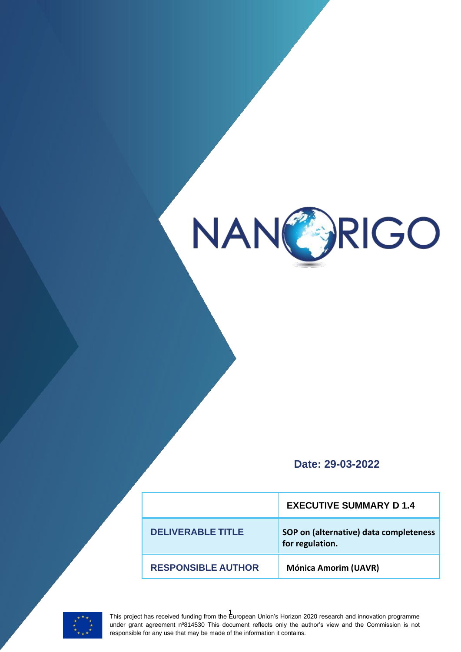

**Date: 29-03-2022**

|                           | <b>EXECUTIVE SUMMARY D1.4</b>                             |
|---------------------------|-----------------------------------------------------------|
| <b>DELIVERABLE TITLE</b>  | SOP on (alternative) data completeness<br>for regulation. |
| <b>RESPONSIBLE AUTHOR</b> | <b>Mónica Amorim (UAVR)</b>                               |



1 This project has received funding from the European Union's Horizon 2020 research and innovation programme under grant agreement nº814530 This document reflects only the author's view and the Commission is not responsible for any use that may be made of the information it contains.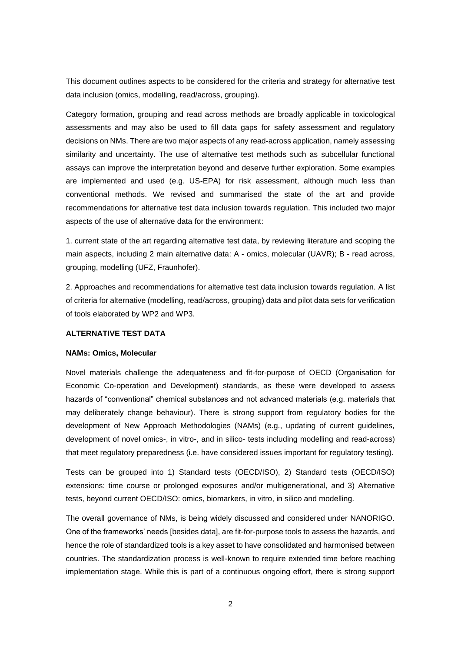This document outlines aspects to be considered for the criteria and strategy for alternative test data inclusion (omics, modelling, read/across, grouping).

Category formation, grouping and read across methods are broadly applicable in toxicological assessments and may also be used to fill data gaps for safety assessment and regulatory decisions on NMs. There are two major aspects of any read-across application, namely assessing similarity and uncertainty. The use of alternative test methods such as subcellular functional assays can improve the interpretation beyond and deserve further exploration. Some examples are implemented and used (e.g. US-EPA) for risk assessment, although much less than conventional methods. We revised and summarised the state of the art and provide recommendations for alternative test data inclusion towards regulation. This included two major aspects of the use of alternative data for the environment:

1. current state of the art regarding alternative test data, by reviewing literature and scoping the main aspects, including 2 main alternative data: A - omics, molecular (UAVR); B - read across, grouping, modelling (UFZ, Fraunhofer).

2. Approaches and recommendations for alternative test data inclusion towards regulation. A list of criteria for alternative (modelling, read/across, grouping) data and pilot data sets for verification of tools elaborated by WP2 and WP3.

## **ALTERNATIVE TEST DATA**

## **NAMs: Omics, Molecular**

Novel materials challenge the adequateness and fit-for-purpose of OECD (Organisation for Economic Co-operation and Development) standards, as these were developed to assess hazards of "conventional" chemical substances and not advanced materials (e.g. materials that may deliberately change behaviour). There is strong support from regulatory bodies for the development of New Approach Methodologies (NAMs) (e.g., updating of current guidelines, development of novel omics-, in vitro-, and in silico- tests including modelling and read-across) that meet regulatory preparedness (i.e. have considered issues important for regulatory testing).

Tests can be grouped into 1) Standard tests (OECD/ISO), 2) Standard tests (OECD/ISO) extensions: time course or prolonged exposures and/or multigenerational, and 3) Alternative tests, beyond current OECD/ISO: omics, biomarkers, in vitro, in silico and modelling.

The overall governance of NMs, is being widely discussed and considered under NANORIGO. One of the frameworks' needs [besides data], are fit-for-purpose tools to assess the hazards, and hence the role of standardized tools is a key asset to have consolidated and harmonised between countries. The standardization process is well-known to require extended time before reaching implementation stage. While this is part of a continuous ongoing effort, there is strong support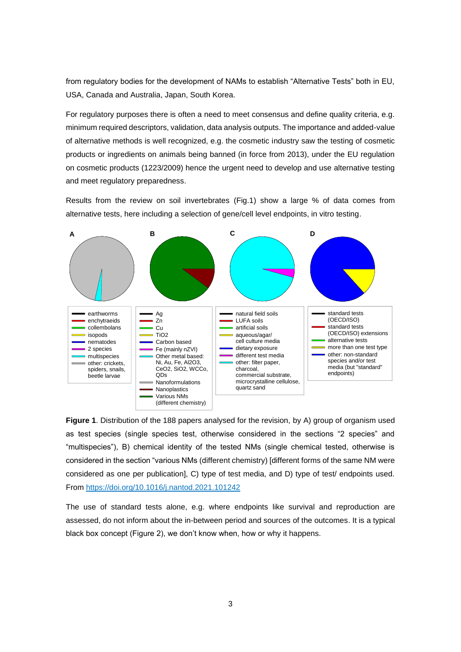from regulatory bodies for the development of NAMs to establish "Alternative Tests" both in EU, USA, Canada and Australia, Japan, South Korea.

For regulatory purposes there is often a need to meet consensus and define quality criteria, e.g. minimum required descriptors, validation, data analysis outputs. The importance and added-value of alternative methods is well recognized, e.g. the cosmetic industry saw the testing of cosmetic products or ingredients on animals being banned (in force from 2013), under the EU regulation on cosmetic products (1223/2009) hence the urgent need to develop and use alternative testing and meet regulatory preparedness.

Results from the review on soil invertebrates (Fig.1) show a large % of data comes from alternative tests, here including a selection of gene/cell level endpoints, in vitro testing.



**Figure 1**. Distribution of the 188 papers analysed for the revision, by A) group of organism used as test species (single species test, otherwise considered in the sections "2 species" and "multispecies"), B) chemical identity of the tested NMs (single chemical tested, otherwise is considered in the section "various NMs (different chemistry) [different forms of the same NM were considered as one per publication], C) type of test media, and D) type of test/ endpoints used. From<https://doi.org/10.1016/j.nantod.2021.101242>

The use of standard tests alone, e.g. where endpoints like survival and reproduction are assessed, do not inform about the in-between period and sources of the outcomes. It is a typical black box concept (Figure 2), we don't know when, how or why it happens.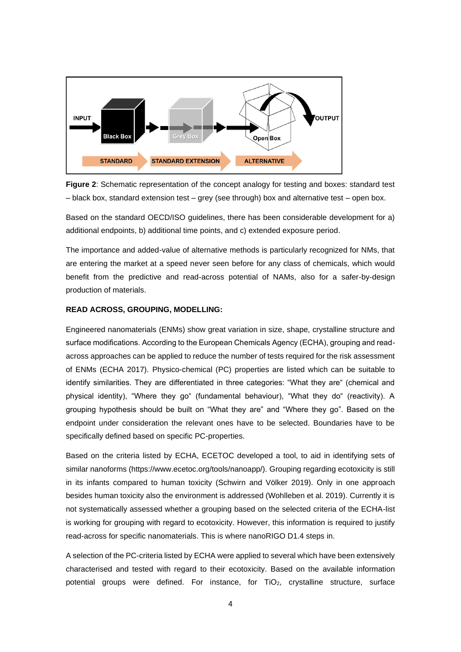

**Figure 2**: Schematic representation of the concept analogy for testing and boxes: standard test – black box, standard extension test – grey (see through) box and alternative test – open box.

Based on the standard OECD/ISO guidelines, there has been considerable development for a) additional endpoints, b) additional time points, and c) extended exposure period.

The importance and added-value of alternative methods is particularly recognized for NMs, that are entering the market at a speed never seen before for any class of chemicals, which would benefit from the predictive and read-across potential of NAMs, also for a safer-by-design production of materials.

## **READ ACROSS, GROUPING, MODELLING:**

Engineered nanomaterials (ENMs) show great variation in size, shape, crystalline structure and surface modifications. According to the European Chemicals Agency (ECHA), grouping and readacross approaches can be applied to reduce the number of tests required for the risk assessment of ENMs (ECHA 2017). Physico-chemical (PC) properties are listed which can be suitable to identify similarities. They are differentiated in three categories: "What they are" (chemical and physical identity), "Where they go" (fundamental behaviour), "What they do" (reactivity). A grouping hypothesis should be built on "What they are" and "Where they go". Based on the endpoint under consideration the relevant ones have to be selected. Boundaries have to be specifically defined based on specific PC-properties.

Based on the criteria listed by ECHA, ECETOC developed a tool, to aid in identifying sets of similar nanoforms (https://www.ecetoc.org/tools/nanoapp/). Grouping regarding ecotoxicity is still in its infants compared to human toxicity (Schwirn and Völker 2019). Only in one approach besides human toxicity also the environment is addressed (Wohlleben et al. 2019). Currently it is not systematically assessed whether a grouping based on the selected criteria of the ECHA-list is working for grouping with regard to ecotoxicity. However, this information is required to justify read-across for specific nanomaterials. This is where nanoRIGO D1.4 steps in.

A selection of the PC-criteria listed by ECHA were applied to several which have been extensively characterised and tested with regard to their ecotoxicity. Based on the available information potential groups were defined. For instance, for TiO<sub>2</sub>, crystalline structure, surface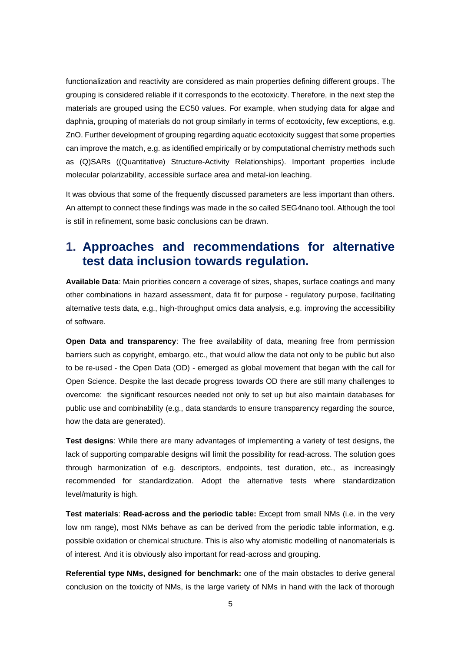functionalization and reactivity are considered as main properties defining different groups. The grouping is considered reliable if it corresponds to the ecotoxicity. Therefore, in the next step the materials are grouped using the EC50 values. For example, when studying data for algae and daphnia, grouping of materials do not group similarly in terms of ecotoxicity, few exceptions, e.g. ZnO. Further development of grouping regarding aquatic ecotoxicity suggest that some properties can improve the match, e.g. as identified empirically or by computational chemistry methods such as (Q)SARs ((Quantitative) Structure-Activity Relationships). Important properties include molecular polarizability, accessible surface area and metal-ion leaching.

It was obvious that some of the frequently discussed parameters are less important than others. An attempt to connect these findings was made in the so called SEG4nano tool. Although the tool is still in refinement, some basic conclusions can be drawn.

## **1. Approaches and recommendations for alternative test data inclusion towards regulation.**

**Available Data**: Main priorities concern a coverage of sizes, shapes, surface coatings and many other combinations in hazard assessment, data fit for purpose - regulatory purpose, facilitating alternative tests data, e.g., high-throughput omics data analysis, e.g. improving the accessibility of software.

**Open Data and transparency**: The free availability of data, meaning free from permission barriers such as copyright, embargo, etc., that would allow the data not only to be public but also to be re-used - the Open Data (OD) - emerged as global movement that began with the call for Open Science. Despite the last decade progress towards OD there are still many challenges to overcome: the significant resources needed not only to set up but also maintain databases for public use and combinability (e.g., data standards to ensure transparency regarding the source, how the data are generated).

**Test designs**: While there are many advantages of implementing a variety of test designs, the lack of supporting comparable designs will limit the possibility for read-across. The solution goes through harmonization of e.g. descriptors, endpoints, test duration, etc., as increasingly recommended for standardization. Adopt the alternative tests where standardization level/maturity is high.

**Test materials**: **Read-across and the periodic table:** Except from small NMs (i.e. in the very low nm range), most NMs behave as can be derived from the periodic table information, e.g. possible oxidation or chemical structure. This is also why atomistic modelling of nanomaterials is of interest. And it is obviously also important for read-across and grouping.

**Referential type NMs, designed for benchmark:** one of the main obstacles to derive general conclusion on the toxicity of NMs, is the large variety of NMs in hand with the lack of thorough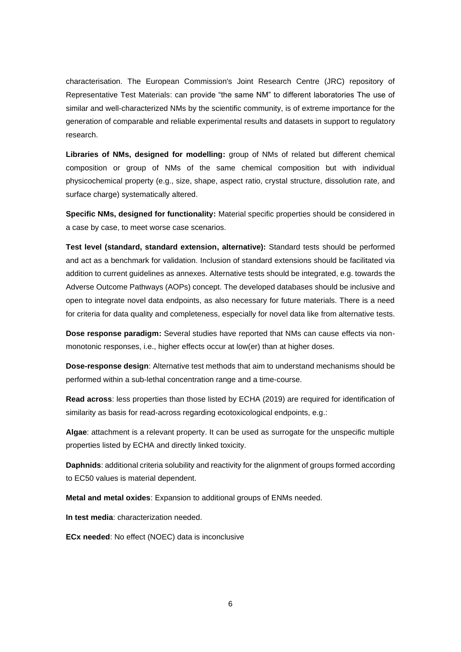characterisation. The European Commission's Joint Research Centre (JRC) repository of Representative Test Materials: can provide "the same NM" to different laboratories The use of similar and well-characterized NMs by the scientific community, is of extreme importance for the generation of comparable and reliable experimental results and datasets in support to regulatory research.

**Libraries of NMs, designed for modelling:** group of NMs of related but different chemical composition or group of NMs of the same chemical composition but with individual physicochemical property (e.g., size, shape, aspect ratio, crystal structure, dissolution rate, and surface charge) systematically altered.

**Specific NMs, designed for functionality:** Material specific properties should be considered in a case by case, to meet worse case scenarios.

**Test level (standard, standard extension, alternative):** Standard tests should be performed and act as a benchmark for validation. Inclusion of standard extensions should be facilitated via addition to current guidelines as annexes. Alternative tests should be integrated, e.g. towards the Adverse Outcome Pathways (AOPs) concept. The developed databases should be inclusive and open to integrate novel data endpoints, as also necessary for future materials. There is a need for criteria for data quality and completeness, especially for novel data like from alternative tests.

**Dose response paradigm:** Several studies have reported that NMs can cause effects via nonmonotonic responses, i.e., higher effects occur at low(er) than at higher doses.

**Dose-response design**: Alternative test methods that aim to understand mechanisms should be performed within a sub-lethal concentration range and a time-course.

**Read across**: less properties than those listed by ECHA (2019) are required for identification of similarity as basis for read-across regarding ecotoxicological endpoints, e.g.:

**Algae**: attachment is a relevant property. It can be used as surrogate for the unspecific multiple properties listed by ECHA and directly linked toxicity.

**Daphnids**: additional criteria solubility and reactivity for the alignment of groups formed according to EC50 values is material dependent.

**Metal and metal oxides**: Expansion to additional groups of ENMs needed.

**In test media**: characterization needed.

**ECx needed**: No effect (NOEC) data is inconclusive